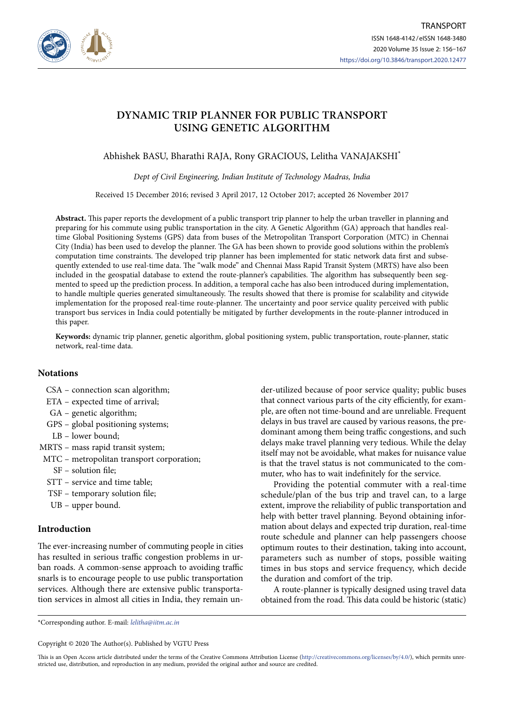

# **DYNAMIC TRIP PLANNER FOR PUBLIC TRANSPORT USING GENETIC ALGORITHM**

Abhishek BASU, Bharathi RAJA, Rony GRACIOUS, Lelitha VANAJAKSHI\*

Dept of Civil Engineering, Indian Institute of Technology Madras, India

Received 15 December 2016; revised 3 April 2017, 12 October 2017; accepted 26 November 2017

**Abstract.** This paper reports the development of a public transport trip planner to help the urban traveller in planning and preparing for his commute using public transportation in the city. A Genetic Algorithm (GA) approach that handles realtime Global Positioning Systems (GPS) data from buses of the Metropolitan Transport Corporation (MTC) in Chennai City (India) has been used to develop the planner. The GA has been shown to provide good solutions within the problem's computation time constraints. The developed trip planner has been implemented for static network data first and subsequently extended to use real-time data. The "walk mode" and Chennai Mass Rapid Transit System (MRTS) have also been included in the geospatial database to extend the route-planner's capabilities. The algorithm has subsequently been segmented to speed up the prediction process. In addition, a temporal cache has also been introduced during implementation, to handle multiple queries generated simultaneously. The results showed that there is promise for scalability and citywide implementation for the proposed real-time route-planner. The uncertainty and poor service quality perceived with public transport bus services in India could potentially be mitigated by further developments in the route-planner introduced in this paper.

**Keywords:** dynamic trip planner, genetic algorithm, global positioning system, public transportation, route-planner, static network, real-time data.

# **Notations**

- CSA connection scan algorithm;
- ETA expected time of arrival;
- GA genetic algorithm;
- GPS global positioning systems;
- LB lower bound;
- MRTS mass rapid transit system;
- MTC metropolitan transport corporation;
	- SF solution file;
- STT service and time table;
- TSF temporary solution file;
- UB upper bound.

# **Introduction**

The ever-increasing number of commuting people in cities has resulted in serious traffic congestion problems in urban roads. A common-sense approach to avoiding traffic snarls is to encourage people to use public transportation services. Although there are extensive public transportation services in almost all cities in India, they remain under-utilized because of poor service quality; public buses that connect various parts of the city efficiently, for example, are often not time-bound and are unreliable. Frequent delays in bus travel are caused by various reasons, the predominant among them being traffic congestions, and such delays make travel planning very tedious. While the delay itself may not be avoidable, what makes for nuisance value is that the travel status is not communicated to the commuter, who has to wait indefinitely for the service.

Providing the potential commuter with a real-time schedule/plan of the bus trip and travel can, to a large extent, improve the reliability of public transportation and help with better travel planning. Beyond obtaining information about delays and expected trip duration, real-time route schedule and planner can help passengers choose optimum routes to their destination, taking into account, parameters such as number of stops, possible waiting times in bus stops and service frequency, which decide the duration and comfort of the trip.

A route-planner is typically designed using travel data obtained from the road. This data could be historic (static)

\*Corresponding author. E-mail: lelitha@iitm.ac.in

Copyright © 2020 The Author(s). Published by VGTU Press

This is an Open Access article distributed under the terms of the Creative Commons Attribution License (http://creativecommons.org/licenses/by/4.0/), which permits unrestricted use, distribution, and reproduction in any medium, provided the original author and source are credited.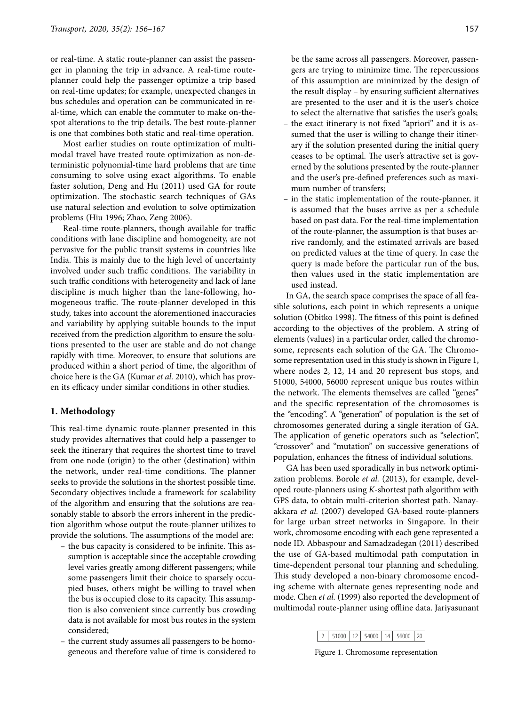or real-time. A static route-planner can assist the passenger in planning the trip in advance. A real-time routeplanner could help the passenger optimize a trip based on real-time updates; for example, unexpected changes in bus schedules and operation can be communicated in real-time, which can enable the commuter to make on-thespot alterations to the trip details. The best route-planner is one that combines both static and real-time operation.

Most earlier studies on route optimization of multimodal travel have treated route optimization as non-deterministic polynomial-time hard problems that are time consuming to solve using exact algorithms. To enable faster solution, Deng and Hu (2011) used GA for route optimization. The stochastic search techniques of GAs use natural selection and evolution to solve optimization problems (Hiu 1996; Zhao, Zeng 2006).

Real-time route-planners, though available for traffic conditions with lane discipline and homogeneity, are not pervasive for the public transit systems in countries like India. This is mainly due to the high level of uncertainty involved under such traffic conditions. The variability in such traffic conditions with heterogeneity and lack of lane discipline is much higher than the lane-following, homogeneous traffic. The route-planner developed in this study, takes into account the aforementioned inaccuracies and variability by applying suitable bounds to the input received from the prediction algorithm to ensure the solutions presented to the user are stable and do not change rapidly with time. Moreover, to ensure that solutions are produced within a short period of time, the algorithm of choice here is the GA (Kumar et al. 2010), which has proven its efficacy under similar conditions in other studies.

## **1. Methodology**

This real-time dynamic route-planner presented in this study provides alternatives that could help a passenger to seek the itinerary that requires the shortest time to travel from one node (origin) to the other (destination) within the network, under real-time conditions. The planner seeks to provide the solutions in the shortest possible time. Secondary objectives include a framework for scalability of the algorithm and ensuring that the solutions are reasonably stable to absorb the errors inherent in the prediction algorithm whose output the route-planner utilizes to provide the solutions. The assumptions of the model are:

- the bus capacity is considered to be infinite. This assumption is acceptable since the acceptable crowding level varies greatly among different passengers; while some passengers limit their choice to sparsely occupied buses, others might be willing to travel when the bus is occupied close to its capacity. This assumption is also convenient since currently bus crowding data is not available for most bus routes in the system considered;
- the current study assumes all passengers to be homogeneous and therefore value of time is considered to

be the same across all passengers. Moreover, passengers are trying to minimize time. The repercussions of this assumption are minimized by the design of the result display – by ensuring sufficient alternatives are presented to the user and it is the user's choice to select the alternative that satisfies the user's goals;

- the exact itinerary is not fixed "apriori" and it is assumed that the user is willing to change their itinerary if the solution presented during the initial query ceases to be optimal. The user's attractive set is governed by the solutions presented by the route-planner and the user's pre-defined preferences such as maximum number of transfers;
- in the static implementation of the route-planner, it is assumed that the buses arrive as per a schedule based on past data. For the real-time implementation of the route-planner, the assumption is that buses arrive randomly, and the estimated arrivals are based on predicted values at the time of query. In case the query is made before the particular run of the bus, then values used in the static implementation are used instead.

In GA, the search space comprises the space of all feasible solutions, each point in which represents a unique solution (Obitko 1998). The fitness of this point is defined according to the objectives of the problem. A string of elements (values) in a particular order, called the chromosome, represents each solution of the GA. The Chromosome representation used in this study is shown in Figure 1, where nodes 2, 12, 14 and 20 represent bus stops, and 51000, 54000, 56000 represent unique bus routes within the network. The elements themselves are called "genes" and the specific representation of the chromosomes is the "encoding". A "generation" of population is the set of chromosomes generated during a single iteration of GA. The application of genetic operators such as "selection", "crossover" and "mutation" on successive generations of population, enhances the fitness of individual solutions.

GA has been used sporadically in bus network optimization problems. Borole et al. (2013), for example, developed route-planners using  $K$ -shortest path algorithm with GPS data, to obtain multi-criterion shortest path. Nanayakkara et al. (2007) developed GA-based route-planners for large urban street networks in Singapore. In their work, chromosome encoding with each gene represented a node ID. Abbaspour and Samadzadegan (2011) described the use of GA-based multimodal path computation in time-dependent personal tour planning and scheduling. This study developed a non-binary chromosome encoding scheme with alternate genes representing node and mode. Chen et al. (1999) also reported the development of multimodal route-planner using offline data. Jariyasunant

|  |  |  | 2 51000 12 54000 14 56000 20 |  |  |  |  |
|--|--|--|------------------------------|--|--|--|--|
|--|--|--|------------------------------|--|--|--|--|

Figure 1. Chromosome representation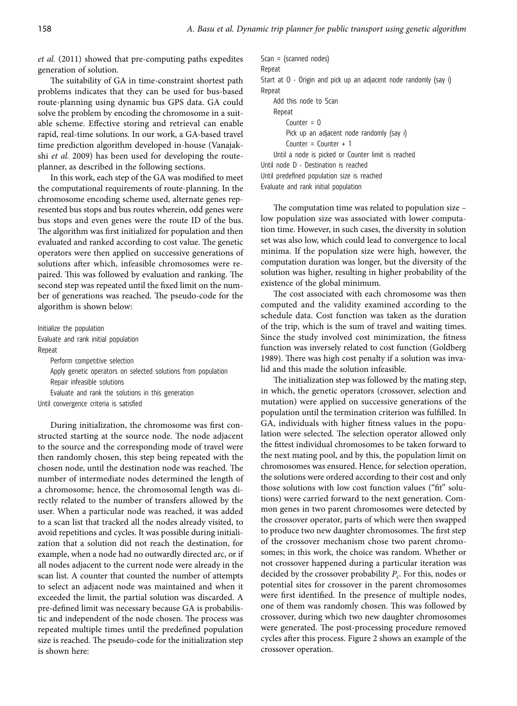et al. (2011) showed that pre-computing paths expedites generation of solution.

The suitability of GA in time-constraint shortest path problems indicates that they can be used for bus-based route-planning using dynamic bus GPS data. GA could solve the problem by encoding the chromosome in a suitable scheme. Effective storing and retrieval can enable rapid, real-time solutions. In our work, a GA-based travel time prediction algorithm developed in-house (Vanajakshi et al. 2009) has been used for developing the routeplanner, as described in the following sections.

In this work, each step of the GA was modified to meet the computational requirements of route-planning. In the chromosome encoding scheme used, alternate genes represented bus stops and bus routes wherein, odd genes were bus stops and even genes were the route ID of the bus. The algorithm was first initialized for population and then evaluated and ranked according to cost value. The genetic operators were then applied on successive generations of solutions after which, infeasible chromosomes were repaired. This was followed by evaluation and ranking. The second step was repeated until the fixed limit on the number of generations was reached. The pseudo-code for the algorithm is shown below:

Initialize the population Evaluate and rank initial population Repeat Perform competitive selection Apply genetic operators on selected solutions from population Repair infeasible solutions Evaluate and rank the solutions in this generation Until convergence criteria is satisfied

During initialization, the chromosome was first constructed starting at the source node. The node adjacent to the source and the corresponding mode of travel were then randomly chosen, this step being repeated with the chosen node, until the destination node was reached. The number of intermediate nodes determined the length of a chromosome; hence, the chromosomal length was directly related to the number of transfers allowed by the user. When a particular node was reached, it was added to a scan list that tracked all the nodes already visited, to avoid repetitions and cycles. It was possible during initialization that a solution did not reach the destination, for example, when a node had no outwardly directed arc, or if all nodes adjacent to the current node were already in the scan list. A counter that counted the number of attempts to select an adjacent node was maintained and when it exceeded the limit, the partial solution was discarded. A pre-defined limit was necessary because GA is probabilistic and independent of the node chosen. The process was repeated multiple times until the predefined population size is reached. The pseudo-code for the initialization step is shown here:

```
Scan = {scanned nodes}Repeat
Start at O - Origin and pick up an adjacent node randomly (say i)
Repeat
    Add this node to Scan
    Repeat
        Counter = 0Pick up an adjacent node randomly (say i)
        Counter = Counter + 1Until a node is picked or Counter limit is reached
Until node D - Destination is reached
Until predefined population size is reached
Evaluate and rank initial population
```
The computation time was related to population size – low population size was associated with lower computation time. However, in such cases, the diversity in solution set was also low, which could lead to convergence to local minima. If the population size were high, however, the computation duration was longer, but the diversity of the solution was higher, resulting in higher probability of the existence of the global minimum.

The cost associated with each chromosome was then computed and the validity examined according to the schedule data. Cost function was taken as the duration of the trip, which is the sum of travel and waiting times. Since the study involved cost minimization, the fitness function was inversely related to cost function (Goldberg 1989). There was high cost penalty if a solution was invalid and this made the solution infeasible.

The initialization step was followed by the mating step, in which, the genetic operators (crossover, selection and mutation) were applied on successive generations of the population until the termination criterion was fulfilled. In GA, individuals with higher fitness values in the population were selected. The selection operator allowed only the fittest individual chromosomes to be taken forward to the next mating pool, and by this, the population limit on chromosomes was ensured. Hence, for selection operation, the solutions were ordered according to their cost and only those solutions with low cost function values ("fit" solutions) were carried forward to the next generation. Common genes in two parent chromosomes were detected by the crossover operator, parts of which were then swapped to produce two new daughter chromosomes. The first step of the crossover mechanism chose two parent chromosomes; in this work, the choice was random. Whether or not crossover happened during a particular iteration was decided by the crossover probability  $P_c$ . For this, nodes or potential sites for crossover in the parent chromosomes were first identified. In the presence of multiple nodes, one of them was randomly chosen. This was followed by crossover, during which two new daughter chromosomes were generated. The post-processing procedure removed cycles after this process. Figure 2 shows an example of the crossover operation.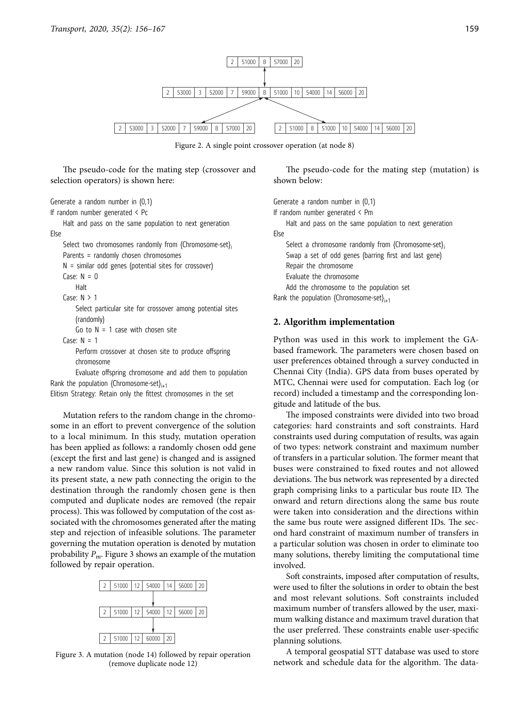

Figure 2. A single point crossover operation (at node 8)

The pseudo-code for the mating step (crossover and selection operators) is shown here:

```
Generate a random number in (0,1)
```
If random number generated < Pc

Halt and pass on the same population to next generation Else

Select two chromosomes randomly from {Chromosome-set} Parents = randomly chosen chromosomes  $N =$  similar odd genes (potential sites for crossover)

 $Case: N = 0$ 

Halt

Case:  $N > 1$ 

Select particular site for crossover among potential sites (randomly)

Go to  $N = 1$  case with chosen site

Case:  $N = 1$ Perform crossover at chosen site to produce offspring chromosome

Evaluate offspring chromosome and add them to population Rank the population {Chromosome-set} $_{i+1}$ 

Elitism Strategy: Retain only the fittest chromosomes in the set

Mutation refers to the random change in the chromosome in an effort to prevent convergence of the solution to a local minimum. In this study, mutation operation has been applied as follows: a randomly chosen odd gene (except the first and last gene) is changed and is assigned a new random value. Since this solution is not valid in its present state, a new path connecting the origin to the destination through the randomly chosen gene is then computed and duplicate nodes are removed (the repair process). This was followed by computation of the cost associated with the chromosomes generated after the mating step and rejection of infeasible solutions. The parameter governing the mutation operation is denoted by mutation probability  $P_m$ . Figure 3 shows an example of the mutation followed by repair operation.



Figure 3. A mutation (node 14) followed by repair operation (remove duplicate node 12)

The pseudo-code for the mating step (mutation) is shown below:

Generate a random number in (0,1)

If random number generated < Pm

Halt and pass on the same population to next generation

Else

Select a chromosome randomly from {Chromosome-set}; Swap a set of odd genes (barring first and last gene) Repair the chromosome Evaluate the chromosome Add the chromosome to the population set Rank the population {Chromosome-set} $_{i+1}$ 

# **2. Algorithm implementation**

Python was used in this work to implement the GAbased framework. The parameters were chosen based on user preferences obtained through a survey conducted in Chennai City (India). GPS data from buses operated by MTC, Chennai were used for computation. Each log (or record) included a timestamp and the corresponding longitude and latitude of the bus.

The imposed constraints were divided into two broad categories: hard constraints and soft constraints. Hard constraints used during computation of results, was again of two types: network constraint and maximum number of transfers in a particular solution. The former meant that buses were constrained to fixed routes and not allowed deviations. The bus network was represented by a directed graph comprising links to a particular bus route ID. The onward and return directions along the same bus route were taken into consideration and the directions within the same bus route were assigned different IDs. The second hard constraint of maximum number of transfers in a particular solution was chosen in order to eliminate too many solutions, thereby limiting the computational time involved.

Soft constraints, imposed after computation of results, were used to filter the solutions in order to obtain the best and most relevant solutions. Soft constraints included maximum number of transfers allowed by the user, maximum walking distance and maximum travel duration that the user preferred. These constraints enable user-specific planning solutions.

A temporal geospatial STT database was used to store network and schedule data for the algorithm. The data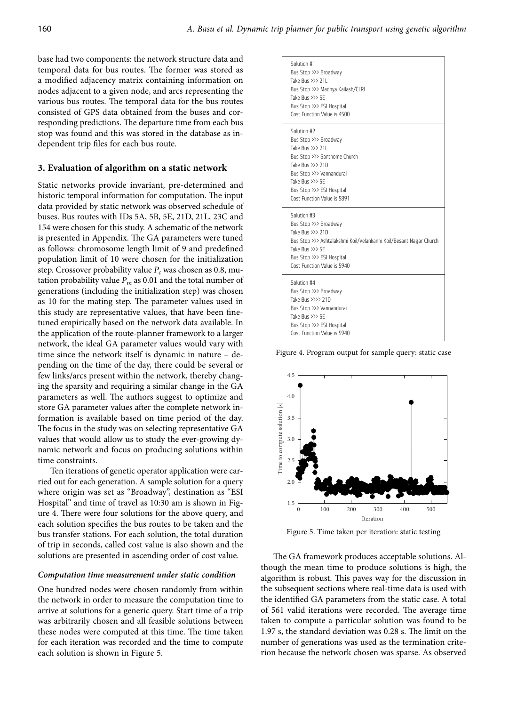base had two components: the network structure data and temporal data for bus routes. The former was stored as a modified adjacency matrix containing information on nodes adjacent to a given node, and arcs representing the various bus routes. The temporal data for the bus routes consisted of GPS data obtained from the buses and corresponding predictions. The departure time from each bus stop was found and this was stored in the database as independent trip files for each bus route.

# **3. Evaluation of algorithm on a static network**

Static networks provide invariant, pre-determined and historic temporal information for computation. The input data provided by static network was observed schedule of buses. Bus routes with IDs 5A, 5B, 5E, 21D, 21L, 23C and 154 were chosen for this study. A schematic of the network is presented in Appendix. The GA parameters were tuned as follows: chromosome length limit of 9 and predefined population limit of 10 were chosen for the initialization step. Crossover probability value  $P_c$  was chosen as 0.8, mutation probability value  $P_m$  as 0.01 and the total number of generations (including the initialization step) was chosen as 10 for the mating step. The parameter values used in this study are representative values, that have been finetuned empirically based on the network data available. In the application of the route-planner framework to a larger network, the ideal GA parameter values would vary with time since the network itself is dynamic in nature – depending on the time of the day, there could be several or few links/arcs present within the network, thereby changing the sparsity and requiring a similar change in the GA parameters as well. The authors suggest to optimize and store GA parameter values after the complete network information is available based on time period of the day. The focus in the study was on selecting representative GA values that would allow us to study the ever-growing dynamic network and focus on producing solutions within time constraints.

Ten iterations of genetic operator application were carried out for each generation. A sample solution for a query where origin was set as "Broadway", destination as "ESI Hospital" and time of travel as 10:30 am is shown in Figure 4. There were four solutions for the above query, and each solution specifies the bus routes to be taken and the bus transfer stations. For each solution, the total duration of trip in seconds, called cost value is also shown and the solutions are presented in ascending order of cost value.

#### **Computation time measurement under static condition**

One hundred nodes were chosen randomly from within the network in order to measure the computation time to arrive at solutions for a generic query. Start time of a trip was arbitrarily chosen and all feasible solutions between these nodes were computed at this time. The time taken for each iteration was recorded and the time to compute each solution is shown in Figure 5.

| Solution #1<br>Bus Stop >>> Broadway<br>Take Bus $\gg$ 211<br>Bus Stop >>> Madhya Kailash/CLRI<br>Take Bus >>> 5E<br>Bus Stop >>> ESI Hospital<br>Cost Function Value is 4500                                             |
|---------------------------------------------------------------------------------------------------------------------------------------------------------------------------------------------------------------------------|
| Solution #2<br>Bus Stop >>> Broadway<br>Take Bus $\gg$ 211<br>Bus Stop >>> Santhome Church<br>Take Bus >>> 21D<br>Bus Stop >>> Vannandurai<br>Take Bus >>> 5E<br>Bus Stop >>> ESI Hospital<br>Cost Function Value is 5891 |
| Solution #3<br>Bus Stop >>> Broadway<br>Take Bus >>> 21D<br>Bus Stop >>> Ashtalakshmi Koil/Velankanni Koil/Besant Nagar Church<br>Take Bus >>> 5E<br>Bus Stop >>> ESI Hospital<br>Cost Function Value is 5940             |
| Solution #4<br>Bus Stop >>> Broadway<br>Take Bus >>>> 21D<br>Bus Stop >>> Vannandurai<br>Take Bus >>> 5E<br>Bus Stop >>> ESI Hospital<br>Cost Function Value is 5940                                                      |

Figure 4. Program output for sample query: static case



Figure 5. Time taken per iteration: static testing

The GA framework produces acceptable solutions. Although the mean time to produce solutions is high, the algorithm is robust. This paves way for the discussion in the subsequent sections where real-time data is used with the identified GA parameters from the static case. A total of 561 valid iterations were recorded. The average time taken to compute a particular solution was found to be 1.97 s, the standard deviation was 0.28 s. The limit on the number of generations was used as the termination criterion because the network chosen was sparse. As observed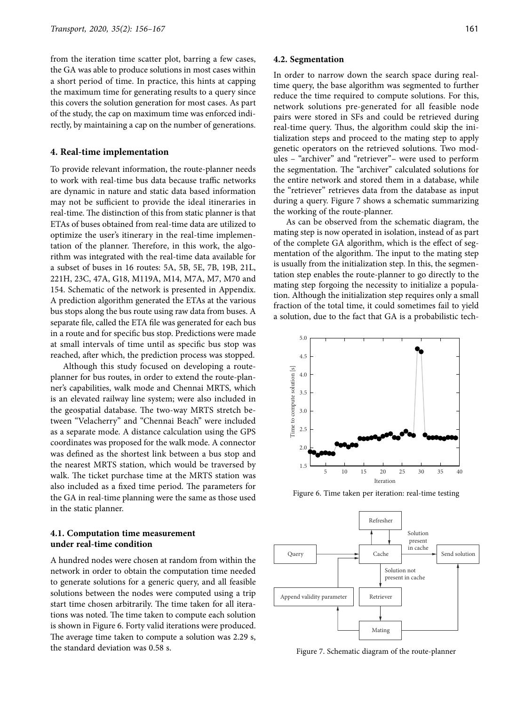from the iteration time scatter plot, barring a few cases, the GA was able to produce solutions in most cases within a short period of time. In practice, this hints at capping the maximum time for generating results to a query since this covers the solution generation for most cases. As part of the study, the cap on maximum time was enforced indirectly, by maintaining a cap on the number of generations.

#### **4. Real-time implementation**

To provide relevant information, the route-planner needs to work with real-time bus data because traffic networks are dynamic in nature and static data based information may not be sufficient to provide the ideal itineraries in real-time. The distinction of this from static planner is that ETAs of buses obtained from real-time data are utilized to optimize the user's itinerary in the real-time implementation of the planner. Therefore, in this work, the algorithm was integrated with the real-time data available for a subset of buses in 16 routes: 5A, 5B, 5E, 7B, 19B, 21L, 221H, 23C, 47A, G18, M119A, M14, M7A, M7, M70 and 154. Schematic of the network is presented in Appendix. A prediction algorithm generated the ETAs at the various bus stops along the bus route using raw data from buses. A separate file, called the ETA file was generated for each bus in a route and for specific bus stop. Predictions were made at small intervals of time until as specific bus stop was reached, after which, the prediction process was stopped.

Although this study focused on developing a routeplanner for bus routes, in order to extend the route-planner's capabilities, walk mode and Chennai MRTS, which is an elevated railway line system; were also included in the geospatial database. The two-way MRTS stretch between "Velacherry" and "Chennai Beach" were included as a separate mode. A distance calculation using the GPS coordinates was proposed for the walk mode. A connector was defined as the shortest link between a bus stop and the nearest MRTS station, which would be traversed by walk. The ticket purchase time at the MRTS station was also included as a fixed time period. The parameters for the GA in real-time planning were the same as those used in the static planner.

# **4.1. Computation time measurement under real-time condition**

A hundred nodes were chosen at random from within the network in order to obtain the computation time needed to generate solutions for a generic query, and all feasible solutions between the nodes were computed using a trip start time chosen arbitrarily. The time taken for all iterations was noted. The time taken to compute each solution is shown in Figure 6. Forty valid iterations were produced. The average time taken to compute a solution was 2.29 s, the standard deviation was 0.58 s.

#### **4.2. Segmentation**

In order to narrow down the search space during realtime query, the base algorithm was segmented to further reduce the time required to compute solutions. For this, network solutions pre-generated for all feasible node pairs were stored in SFs and could be retrieved during real-time query. Thus, the algorithm could skip the initialization steps and proceed to the mating step to apply genetic operators on the retrieved solutions. Two modules – "archiver" and "retriever"– were used to perform the segmentation. The "archiver" calculated solutions for the entire network and stored them in a database, while the "retriever" retrieves data from the database as input during a query. Figure 7 shows a schematic summarizing the working of the route-planner.

As can be observed from the schematic diagram, the mating step is now operated in isolation, instead of as part of the complete GA algorithm, which is the effect of segmentation of the algorithm. The input to the mating step is usually from the initialization step. In this, the segmentation step enables the route-planner to go directly to the mating step forgoing the necessity to initialize a population. Although the initialization step requires only a small fraction of the total time, it could sometimes fail to yield a solution, due to the fact that GA is a probabilistic tech-



Figure 6. Time taken per iteration: real-time testing



Figure 7. Schematic diagram of the route-planner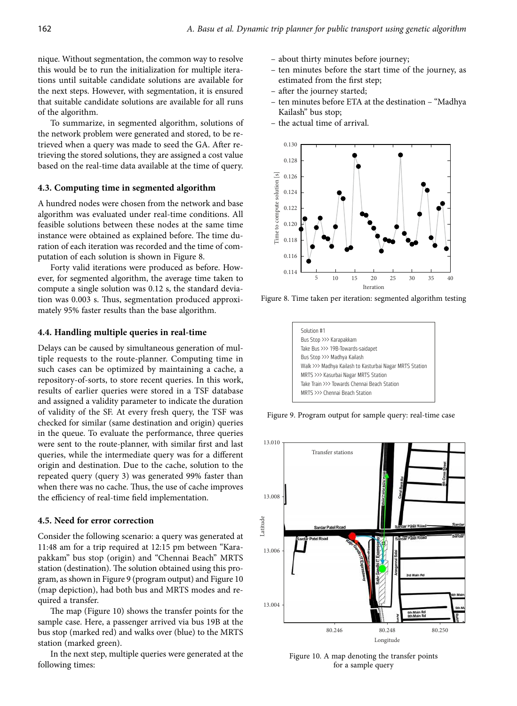nique. Without segmentation, the common way to resolve this would be to run the initialization for multiple iterations until suitable candidate solutions are available for the next steps. However, with segmentation, it is ensured that suitable candidate solutions are available for all runs of the algorithm.

To summarize, in segmented algorithm, solutions of the network problem were generated and stored, to be retrieved when a query was made to seed the GA. After retrieving the stored solutions, they are assigned a cost value based on the real-time data available at the time of query.

### **4.3. Computing time in segmented algorithm**

A hundred nodes were chosen from the network and base algorithm was evaluated under real-time conditions. All feasible solutions between these nodes at the same time instance were obtained as explained before. The time duration of each iteration was recorded and the time of computation of each solution is shown in Figure 8.

Forty valid iterations were produced as before. However, for segmented algorithm, the average time taken to compute a single solution was 0.12 s, the standard deviation was 0.003 s. Thus, segmentation produced approximately 95% faster results than the base algorithm.

#### **4.4. Handling multiple queries in real-time**

Delays can be caused by simultaneous generation of multiple requests to the route-planner. Computing time in such cases can be optimized by maintaining a cache, a repository-of-sorts, to store recent queries. In this work, results of earlier queries were stored in a TSF database and assigned a validity parameter to indicate the duration of validity of the SF. At every fresh query, the TSF was checked for similar (same destination and origin) queries in the queue. To evaluate the performance, three queries were sent to the route-planner, with similar first and last queries, while the intermediate query was for a different origin and destination. Due to the cache, solution to the repeated query (query 3) was generated 99% faster than when there was no cache. Thus, the use of cache improves the efficiency of real-time field implementation.

### **4.5. Need for error correction**

Consider the following scenario: a query was generated at 11:48 am for a trip required at 12:15 pm between "Karapakkam" bus stop (origin) and "Chennai Beach" MRTS station (destination). The solution obtained using this program, as shown in Figure 9 (program output) and Figure 10 (map depiction), had both bus and MRTS modes and required a transfer.

The map (Figure 10) shows the transfer points for the sample case. Here, a passenger arrived via bus 19B at the bus stop (marked red) and walks over (blue) to the MRTS station (marked green).

In the next step, multiple queries were generated at the following times:

- about thirty minutes before journey;
- ten minutes before the start time of the journey, as estimated from the first step;
- after the journey started;
- ten minutes before ETA at the destination "Madhya Kailash" bus stop;
- the actual time of arrival.



Figure 8. Time taken per iteration: segmented algorithm testing

| Solution #1                                             |
|---------------------------------------------------------|
| Bus Stop >>> Karapakkam                                 |
| Take Bus >>> 19B-Towards-saidapet                       |
| Bus Stop >>> Madhya Kailash                             |
| Walk >>> Madhya Kailash to Kasturbai Nagar MRTS Station |
| MRTS >>> Kasurbai Nagar MRTS Station                    |
| Take Train >>> Towards Chennai Beach Station            |
| MRTS >>> Chennai Beach Station                          |
|                                                         |

Figure 9. Program output for sample query: real-time case



Figure 10. A map denoting the transfer points for a sample query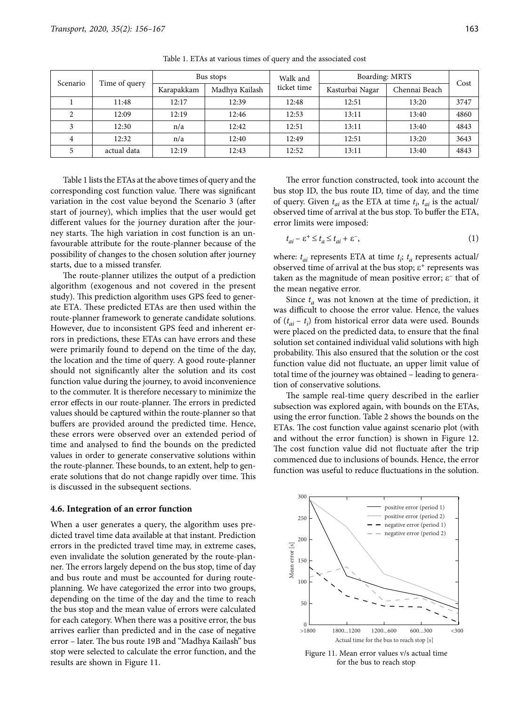| Scenario |               | Bus stops  |                | Walk and    | Boarding: MRTS  | Cost          |      |
|----------|---------------|------------|----------------|-------------|-----------------|---------------|------|
|          | Time of query | Karapakkam | Madhva Kailash | ticket time | Kasturbai Nagar | Chennai Beach |      |
|          | 11:48         | 12:17      | 12:39          | 12:48       | 12:51           | 13:20         | 3747 |
|          | 12:09         | 12:19      | 12:46          | 12:53       | 13:11           | 13:40         | 4860 |
|          | 12:30         | n/a        | 12:42          | 12:51       | 13:11           | 13:40         | 4843 |
| 4        | 12:32         | n/a        | 12:40          | 12:49       | 12:51           | 13:20         | 3643 |
|          | actual data   | 12:19      | 12:43          | 12:52       | 13:11           | 13:40         | 4843 |

Table 1. ETAs at various times of query and the associated cost

Table 1 lists the ETAs at the above times of query and the corresponding cost function value. There was significant variation in the cost value beyond the Scenario 3 (after start of journey), which implies that the user would get different values for the journey duration after the journey starts. The high variation in cost function is an unfavourable attribute for the route-planner because of the possibility of changes to the chosen solution after journey starts, due to a missed transfer.

The route-planner utilizes the output of a prediction algorithm (exogenous and not covered in the present study). This prediction algorithm uses GPS feed to generate ETA. These predicted ETAs are then used within the route-planner framework to generate candidate solutions. However, due to inconsistent GPS feed and inherent errors in predictions, these ETAs can have errors and these were primarily found to depend on the time of the day, the location and the time of query. A good route-planner should not significantly alter the solution and its cost function value during the journey, to avoid inconvenience to the commuter. It is therefore necessary to minimize the error effects in our route-planner. The errors in predicted values should be captured within the route-planner so that buffers are provided around the predicted time. Hence, these errors were observed over an extended period of time and analysed to find the bounds on the predicted values in order to generate conservative solutions within the route-planner. These bounds, to an extent, help to generate solutions that do not change rapidly over time. This is discussed in the subsequent sections.

#### **4.6. Integration of an error function**

When a user generates a query, the algorithm uses predicted travel time data available at that instant. Prediction errors in the predicted travel time may, in extreme cases, even invalidate the solution generated by the route-planner. The errors largely depend on the bus stop, time of day and bus route and must be accounted for during routeplanning. We have categorized the error into two groups, depending on the time of the day and the time to reach the bus stop and the mean value of errors were calculated for each category. When there was a positive error, the bus arrives earlier than predicted and in the case of negative error – later. The bus route 19B and "Madhya Kailash" bus stop were selected to calculate the error function, and the results are shown in Figure 11.

The error function constructed, took into account the bus stop ID, the bus route ID, time of day, and the time of query. Given  $t_{ai}$  as the ETA at time  $t_i$ ,  $t_{ai}$  is the actual/ observed time of arrival at the bus stop. To buffer the ETA, error limits were imposed:

$$
t_{ai} - \varepsilon^+ \le t_a \le t_{ai} + \varepsilon^-, \tag{1}
$$

where:  $t_{ai}$  represents ETA at time  $t_i$ ;  $t_a$  represents actual/ observed time of arrival at the bus stop;  $\varepsilon^+$  represents was taken as the magnitude of mean positive error;  $\varepsilon$ <sup>-</sup> that of the mean negative error.

Since  $t_a$  was not known at the time of prediction, it was difficult to choose the error value. Hence, the values of  $(t_{ai} - t_i)$  from historical error data were used. Bounds were placed on the predicted data, to ensure that the final solution set contained individual valid solutions with high probability. This also ensured that the solution or the cost function value did not fluctuate, an upper limit value of total time of the journey was obtained – leading to generation of conservative solutions.

The sample real-time query described in the earlier subsection was explored again, with bounds on the ETAs, using the error function. Table 2 shows the bounds on the ETAs. The cost function value against scenario plot (with and without the error function) is shown in Figure 12. The cost function value did not fluctuate after the trip commenced due to inclusions of bounds. Hence, the error function was useful to reduce fluctuations in the solution.



Figure 11. Mean error values v/s actual time for the bus to reach stop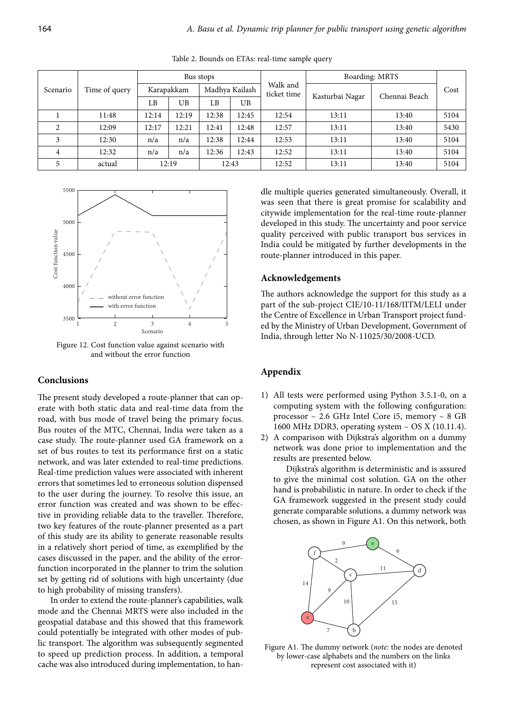|                | Time of query | Bus stops |            |                |       | Boarding: MRTS          |                 |               |      |
|----------------|---------------|-----------|------------|----------------|-------|-------------------------|-----------------|---------------|------|
| Scenario       |               |           | Karapakkam | Madhya Kailash |       | Walk and<br>ticket time |                 | Chennai Beach | Cost |
|                |               | LΒ        | UB         | LB             | UB    |                         | Kasturbai Nagar |               |      |
|                | 11:48         | 12:14     | 12:19      | 12:38          | 12:45 | 12:54                   | 13:11           | 13:40         | 5104 |
| $\mathfrak{D}$ | 12:09         | 12:17     | 12:21      | 12:41          | 12:48 | 12:57                   | 13:11           | 13:40         | 5430 |
| 3              | 12:30         | n/a       | n/a        | 12:38          | 12:44 | 12:53                   | 13:11           | 13:40         | 5104 |
| 4              | 12:32         | n/a       | n/a        | 12:36          | 12:43 | 12:52                   | 13:11           | 13:40         | 5104 |
|                | actual        |           | 12:19      |                | 12:43 | 12:52                   | 13:11           | 13:40         | 5104 |

Table 2. Bounds on ETAs: real-time sample query



Figure 12. Cost function value against scenario with and without the error function

# **Conclusions**

The present study developed a route-planner that can operate with both static data and real-time data from the road, with bus mode of travel being the primary focus. Bus routes of the MTC, Chennai, India were taken as a case study. The route-planner used GA framework on a set of bus routes to test its performance first on a static network, and was later extended to real-time predictions. Real-time prediction values were associated with inherent errors that sometimes led to erroneous solution dispensed to the user during the journey. To resolve this issue, an error function was created and was shown to be effective in providing reliable data to the traveller. Therefore, two key features of the route-planner presented as a part of this study are its ability to generate reasonable results in a relatively short period of time, as exemplified by the cases discussed in the paper, and the ability of the errorfunction incorporated in the planner to trim the solution set by getting rid of solutions with high uncertainty (due to high probability of missing transfers).

In order to extend the route-planner's capabilities, walk mode and the Chennai MRTS were also included in the geospatial database and this showed that this framework could potentially be integrated with other modes of public transport. The algorithm was subsequently segmented to speed up prediction process. In addition, a temporal cache was also introduced during implementation, to handle multiple queries generated simultaneously. Overall, it was seen that there is great promise for scalability and citywide implementation for the real-time route-planner developed in this study. The uncertainty and poor service quality perceived with public transport bus services in India could be mitigated by further developments in the route-planner introduced in this paper.

# **Acknowledgements**

The authors acknowledge the support for this study as a part of the sub-project CIE/10-11/168/IITM/LELI under the Centre of Excellence in Urban Transport project funded by the Ministry of Urban Development, Government of India, through letter No N-11025/30/2008-UCD.

# **Appendix**

- 1) All tests were performed using Python 3.5.1-0, on a computing system with the following configuration: processor – 2.6 GHz Intel Core i5, memory – 8 GB 1600 MHz DDR3, operating system – OS X (10.11.4).
- 2) A comparison with Dijkstra's algorithm on a dummy network was done prior to implementation and the results are presented below.

Dijkstra's algorithm is deterministic and is assured to give the minimal cost solution. GA on the other hand is probabilistic in nature. In order to check if the GA framework suggested in the present study could generate comparable solutions, a dummy network was chosen, as shown in Figure A1. On this network, both



Figure A1. The dummy network (note: the nodes are denoted by lower-case alphabets and the numbers on the links represent cost associated with it)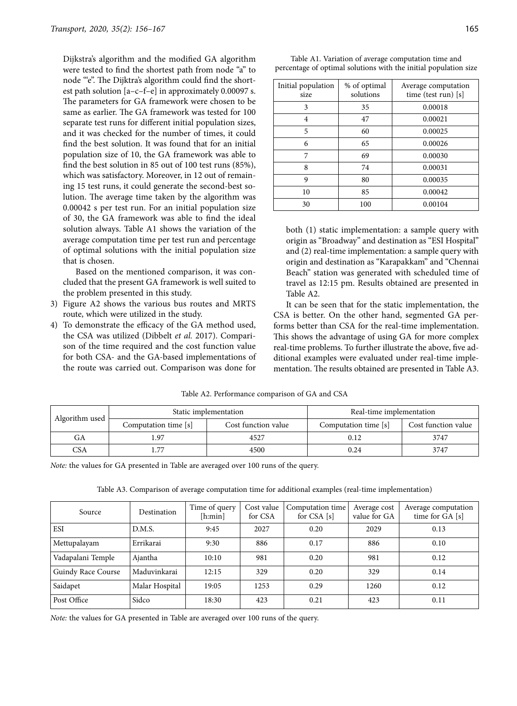Dijkstra's algorithm and the modified GA algorithm were tested to find the shortest path from node "a" to node "e". The Dijktra's algorithm could find the shortest path solution [a–c–f–e] in approximately 0.00097 s. The parameters for GA framework were chosen to be same as earlier. The GA framework was tested for 100 separate test runs for different initial population sizes, and it was checked for the number of times, it could find the best solution. It was found that for an initial population size of 10, the GA framework was able to find the best solution in 85 out of 100 test runs (85%), which was satisfactory. Moreover, in 12 out of remaining 15 test runs, it could generate the second-best solution. The average time taken by the algorithm was 0.00042 s per test run. For an initial population size of 30, the GA framework was able to find the ideal solution always. Table A1 shows the variation of the average computation time per test run and percentage of optimal solutions with the initial population size that is chosen.

Based on the mentioned comparison, it was concluded that the present GA framework is well suited to the problem presented in this study.

- 3) Figure A2 shows the various bus routes and MRTS route, which were utilized in the study.
- 4) To demonstrate the efficacy of the GA method used, the CSA was utilized (Dibbelt et al. 2017). Comparison of the time required and the cost function value for both CSA- and the GA-based implementations of the route was carried out. Comparison was done for

| Initial population<br>size | % of optimal<br>solutions | Average computation<br>time (test run) [s] |
|----------------------------|---------------------------|--------------------------------------------|
| 3                          | 35                        | 0.00018                                    |
| 4                          | 47                        | 0.00021                                    |
| 5                          | 60                        | 0.00025                                    |
| 6                          | 65                        | 0.00026                                    |
|                            | 69                        | 0.00030                                    |
| 8                          | 74                        | 0.00031                                    |
|                            | 80                        | 0.00035                                    |

10 85 0.00042 30 100 0.00104

Table A1. Variation of average computation time and percentage of optimal solutions with the initial population size

both (1) static implementation: a sample query with origin as "Broadway" and destination as "ESI Hospital" and (2) real-time implementation: a sample query with origin and destination as "Karapakkam" and "Chennai Beach" station was generated with scheduled time of travel as 12:15 pm. Results obtained are presented in Table A2.

It can be seen that for the static implementation, the CSA is better. On the other hand, segmented GA performs better than CSA for the real-time implementation. This shows the advantage of using GA for more complex real-time problems. To further illustrate the above, five additional examples were evaluated under real-time implementation. The results obtained are presented in Table A3.

| Table A2. Performance comparison of GA and CSA |  |  |
|------------------------------------------------|--|--|
|------------------------------------------------|--|--|

|                |                      | Static implementation | Real-time implementation |                     |  |
|----------------|----------------------|-----------------------|--------------------------|---------------------|--|
| Algorithm used | Computation time [s] | Cost function value   | Computation time [s]     | Cost function value |  |
| GA             |                      | 4527                  | 0.12                     | 3747                |  |
| CSA            |                      | 4500                  | 0.24                     | 3747                |  |

Note: the values for GA presented in Table are averaged over 100 runs of the query.

|  |  |  |  | Table A3. Comparison of average computation time for additional examples (real-time implementation) |  |
|--|--|--|--|-----------------------------------------------------------------------------------------------------|--|
|  |  |  |  |                                                                                                     |  |

| Source             | Destination    | Time of query<br>[h:min] | Cost value<br>for CSA | Computation time<br>for $CSA[s]$ | Average cost<br>value for GA | Average computation<br>time for GA [s] |
|--------------------|----------------|--------------------------|-----------------------|----------------------------------|------------------------------|----------------------------------------|
| <b>ESI</b>         | D.M.S.         | 9:45                     | 2027                  | 0.20                             | 2029                         | 0.13                                   |
| Mettupalayam       | Errikarai      | 9:30                     | 886                   | 0.17                             | 886                          | 0.10                                   |
| Vadapalani Temple  | Ajantha        | 10:10                    | 981                   | 0.20                             | 981                          | 0.12                                   |
| Guindy Race Course | Maduvinkarai   | 12:15                    | 329                   | 0.20                             | 329                          | 0.14                                   |
| Saidapet           | Malar Hospital | 19:05                    | 1253                  | 0.29                             | 1260                         | 0.12                                   |
| Post Office        | Sidco          | 18:30                    | 423                   | 0.21                             | 423                          | 0.11                                   |

Note: the values for GA presented in Table are averaged over 100 runs of the query.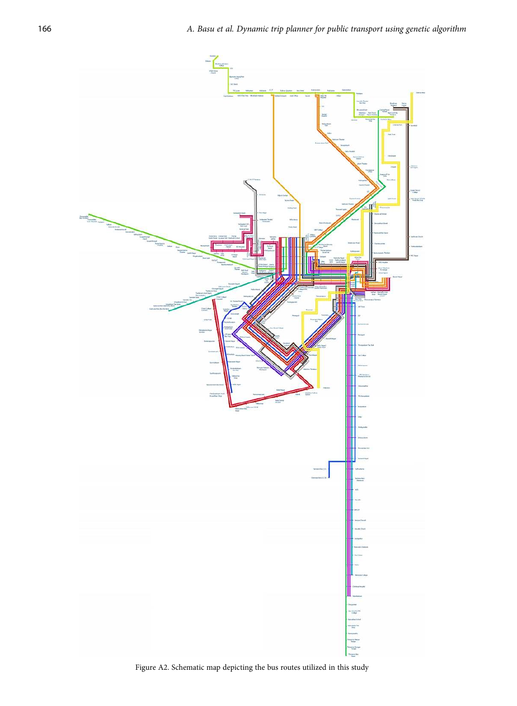